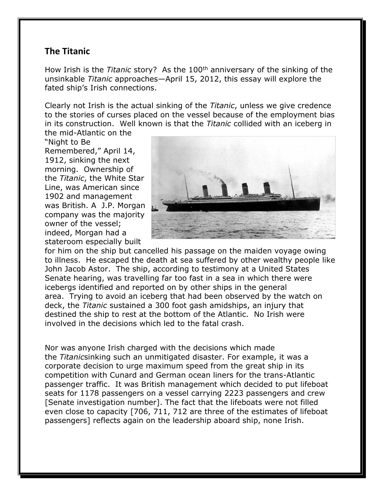## **The Titanic**

How Irish is the *Titanic* story? As the 100th anniversary of the sinking of the unsinkable *Titanic* approaches—April 15, 2012, this essay will explore the fated ship's Irish connections.

Clearly not Irish is the actual sinking of the *Titanic*, unless we give credence to the stories of curses placed on the vessel because of the employment bias in its construction. Well known is that the *Titanic* collided with an iceberg in the mid-Atlantic on the

"Night to Be Remembered," April 14, 1912, sinking the next morning. Ownership of the *Titanic*, the White Star Line, was American since 1902 and management was British. A J.P. Morgan company was the majority owner of the vessel; indeed, Morgan had a stateroom especially built



for him on the ship but cancelled his passage on the maiden voyage owing to illness. He escaped the death at sea suffered by other wealthy people like John Jacob Astor. The ship, according to testimony at a United States Senate hearing, was travelling far too fast in a sea in which there were icebergs identified and reported on by other ships in the general area. Trying to avoid an iceberg that had been observed by the watch on deck, the *Titanic* sustained a 300 foot gash amidships, an injury that destined the ship to rest at the bottom of the Atlantic. No Irish were involved in the decisions which led to the fatal crash.

Nor was anyone Irish charged with the decisions which made the *Titanic*sinking such an unmitigated disaster. For example, it was a corporate decision to urge maximum speed from the great ship in its competition with Cunard and German ocean liners for the trans-Atlantic passenger traffic. It was British management which decided to put lifeboat seats for 1178 passengers on a vessel carrying 2223 passengers and crew [Senate investigation number]. The fact that the lifeboats were not filled even close to capacity [706, 711, 712 are three of the estimates of lifeboat passengers] reflects again on the leadership aboard ship, none Irish.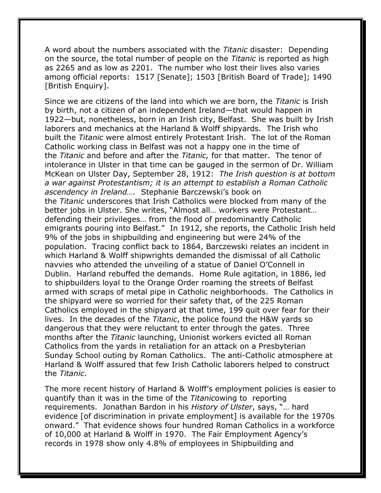A word about the numbers associated with the *Titanic* disaster: Depending on the source, the total number of people on the *Titanic* is reported as high as 2265 and as low as 2201. The number who lost their lives also varies among official reports: 1517 [Senate]; 1503 [British Board of Trade]; 1490 [British Enquiry].

Since we are citizens of the land into which we are born, the *Titanic* is Irish by birth, not a citizen of an independent Ireland—that would happen in 1922—but, nonetheless, born in an Irish city, Belfast. She was built by Irish laborers and mechanics at the Harland & Wolff shipyards. The Irish who built the *Titanic* were almost entirely Protestant Irish. The lot of the Roman Catholic working class in Belfast was not a happy one in the time of the *Titanic* and before and after the *Titanic,* for that matter. The tenor of intolerance in Ulster in that time can be gauged in the sermon of Dr. William McKean on Ulster Day, September 28, 1912: *The Irish question is at bottom a war against Protestantism; it is an attempt to establish a Roman Catholic ascendency in Ireland….* Stephanie Barczewski's book on the *Titanic* underscores that Irish Catholics were blocked from many of the better jobs in Ulster. She writes, "Almost all… workers were Protestant… defending their privileges… from the flood of predominantly Catholic emigrants pouring into Belfast." In 1912, she reports, the Catholic Irish held 9% of the jobs in shipbuilding and engineering but were 24% of the population. Tracing conflict back to 1864, Barczewski relates an incident in which Harland & Wolff shipwrights demanded the dismissal of all Catholic navvies who attended the unveiling of a statue of Daniel O'Connell in Dublin. Harland rebuffed the demands. Home Rule agitation, in 1886, led to shipbuilders loyal to the Orange Order roaming the streets of Belfast armed with scraps of metal pipe in Catholic neighborhoods. The Catholics in the shipyard were so worried for their safety that, of the 225 Roman Catholics employed in the shipyard at that time, 199 quit over fear for their lives. In the decades of the *Titanic*, the police found the H&W yards so dangerous that they were reluctant to enter through the gates. Three months after the *Titanic* launching, Unionist workers evicted all Roman Catholics from the yards in retaliation for an attack on a Presbyterian Sunday School outing by Roman Catholics. The anti-Catholic atmosphere at Harland & Wolff assured that few Irish Catholic laborers helped to construct the *Titanic*.

The more recent history of Harland & Wolff's employment policies is easier to quantify than it was in the time of the *Titanic*owing to reporting requirements. Jonathan Bardon in his *History of Ulster*, says, "… hard evidence [of discrimination in private employment] is available for the 1970s onward." That evidence shows four hundred Roman Catholics in a workforce of 10,000 at Harland & Wolff in 1970. The Fair Employment Agency's records in 1978 show only 4.8% of employees in Shipbuilding and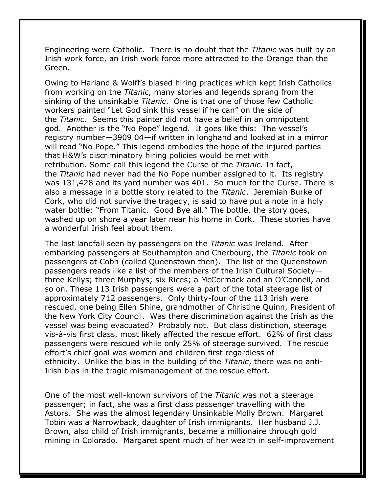Engineering were Catholic. There is no doubt that the *Titanic* was built by an Irish work force, an Irish work force more attracted to the Orange than the Green.

Owing to Harland & Wolff's biased hiring practices which kept Irish Catholics from working on the *Titanic*, many stories and legends sprang from the sinking of the unsinkable *Titanic*. One is that one of those few Catholic workers painted "Let God sink this vessel if he can" on the side of the *Titanic*. Seems this painter did not have a belief in an omnipotent god. Another is the "No Pope" legend. It goes like this: The vessel's registry number—3909 04—if written in longhand and looked at in a mirror will read "No Pope." This legend embodies the hope of the injured parties that H&W's discriminatory hiring policies would be met with retribution*.* Some call this legend the Curse of the *Titanic*. In fact, the *Titanic* had never had the No Pope number assigned to it. Its registry was 131,428 and its yard number was 401. So much for the Curse. There is also a message in a bottle story related to the *Titanic*. Jeremiah Burke of Cork, who did not survive the tragedy, is said to have put a note in a holy water bottle: "From Titanic. Good Bye all." The bottle, the story goes, washed up on shore a year later near his home in Cork. These stories have a wonderful Irish feel about them.

The last landfall seen by passengers on the *Titanic* was Ireland. After embarking passengers at Southampton and Cherbourg, the *Titanic* took on passengers at Cobh (called Queenstown then). The list of the Queenstown passengers reads like a list of the members of the Irish Cultural Society three Kellys; three Murphys; six Rices; a McCormack and an O'Connell, and so on. These 113 Irish passengers were a part of the total steerage list of approximately 712 passengers. Only thirty-four of the 113 Irish were rescued, one being Ellen Shine, grandmother of Christine Quinn, President of the New York City Council. Was there discrimination against the Irish as the vessel was being evacuated? Probably not. But class distinction, steerage vis-à-vis first class, most likely affected the rescue effort. 62% of first class passengers were rescued while only 25% of steerage survived. The rescue effort's chief goal was women and children first regardless of ethnicity. Unlike the bias in the building of the *Titanic*, there was no anti-Irish bias in the tragic mismanagement of the rescue effort.

One of the most well-known survivors of the *Titanic* was not a steerage passenger; in fact, she was a first class passenger travelling with the Astors. She was the almost legendary Unsinkable Molly Brown. Margaret Tobin was a Narrowback, daughter of Irish immigrants. Her husband J.J. Brown, also child of Irish immigrants, became a millionaire through gold mining in Colorado. Margaret spent much of her wealth in self-improvement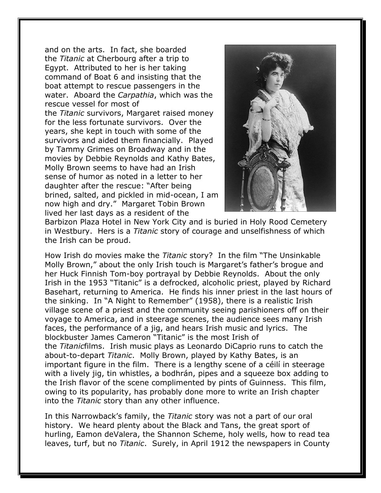and on the arts. In fact, she boarded the *Titanic* at Cherbourg after a trip to Egypt. Attributed to her is her taking command of Boat 6 and insisting that the boat attempt to rescue passengers in the water. Aboard the *Carpathia*, which was the rescue vessel for most of the *Titanic* survivors, Margaret raised money for the less fortunate survivors. Over the years, she kept in touch with some of the survivors and aided them financially. Played by Tammy Grimes on Broadway and in the movies by Debbie Reynolds and Kathy Bates, Molly Brown seems to have had an Irish sense of humor as noted in a letter to her daughter after the rescue: "After being brined, salted, and pickled in mid-ocean, I am now high and dry." Margaret Tobin Brown lived her last days as a resident of the



Barbizon Plaza Hotel in New York City and is buried in Holy Rood Cemetery in Westbury. Hers is a *Titanic* story of courage and unselfishness of which the Irish can be proud.

How Irish do movies make the *Titanic* story? In the film "The Unsinkable Molly Brown," about the only Irish touch is Margaret's father's brogue and her Huck Finnish Tom-boy portrayal by Debbie Reynolds. About the only Irish in the 1953 "Titanic" is a defrocked, alcoholic priest, played by Richard Basehart, returning to America. He finds his inner priest in the last hours of the sinking. In "A Night to Remember" (1958), there is a realistic Irish village scene of a priest and the community seeing parishioners off on their voyage to America, and in steerage scenes, the audience sees many Irish faces, the performance of a jig, and hears Irish music and lyrics. The blockbuster James Cameron "Titanic" is the most Irish of the *Titanic*films. Irish music plays as Leonardo DiCaprio runs to catch the about-to-depart *Titanic*. Molly Brown, played by Kathy Bates, is an important figure in the film. There is a lengthy scene of a céilí in steerage with a lively jig, tin whistles, a bodhrán, pipes and a squeeze box adding to the Irish flavor of the scene complimented by pints of Guinness. This film, owing to its popularity, has probably done more to write an Irish chapter into the *Titanic* story than any other influence.

In this Narrowback's family, the *Titanic* story was not a part of our oral history. We heard plenty about the Black and Tans, the great sport of hurling, Eamon deValera, the Shannon Scheme, holy wells, how to read tea leaves, turf, but no *Titanic*. Surely, in April 1912 the newspapers in County